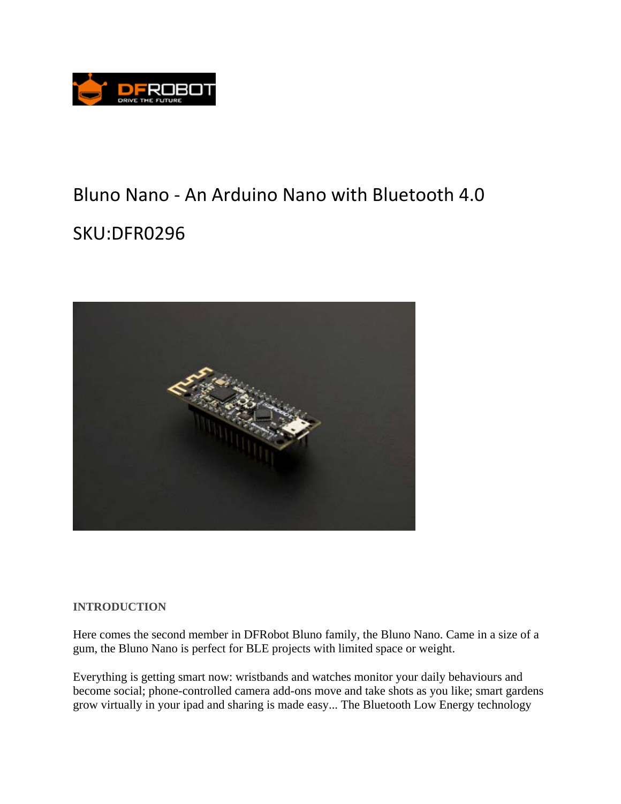

## Bluno Nano ‐ An Arduino Nano with Bluetooth 4.0 SKU:DFR0296



## **INTRODUCTION**

Here comes the second member in DFRobot Bluno family, the Bluno Nano. Came in a size of a gum, the Bluno Nano is perfect for BLE projects with limited space or weight.

Everything is getting smart now: wristbands and watches monitor your daily behaviours and become social; phone-controlled camera add-ons move and take shots as you like; smart gardens grow virtually in your ipad and sharing is made easy... The Bluetooth Low Energy technology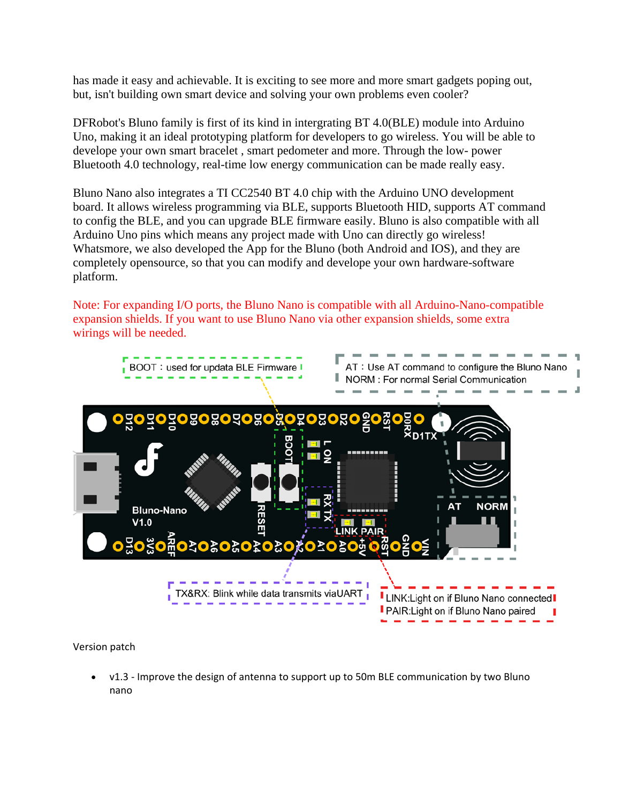has made it easy and achievable. It is exciting to see more and more smart gadgets poping out, but, isn't building own smart device and solving your own problems even cooler?

DFRobot's Bluno family is first of its kind in intergrating BT 4.0(BLE) module into Arduino Uno, making it an ideal prototyping platform for developers to go wireless. You will be able to develope your own smart bracelet , smart pedometer and more. Through the low- power Bluetooth 4.0 technology, real-time low energy communication can be made really easy.

Bluno Nano also integrates a TI CC2540 BT 4.0 chip with the Arduino UNO development board. It allows wireless programming via BLE, supports Bluetooth HID, supports AT command to config the BLE, and you can upgrade BLE firmware easily. Bluno is also compatible with all Arduino Uno pins which means any project made with Uno can directly go wireless! Whatsmore, we also developed the App for the Bluno (both Android and IOS), and they are completely opensource, so that you can modify and develope your own hardware-software platform.

Note: For expanding I/O ports, the Bluno Nano is compatible with all Arduino-Nano-compatible expansion shields. If you want to use Bluno Nano via other expansion shields, some extra wirings will be needed.



Version patch

v1.3 - Improve the design of antenna to support up to 50m BLE communication by two Bluno nano